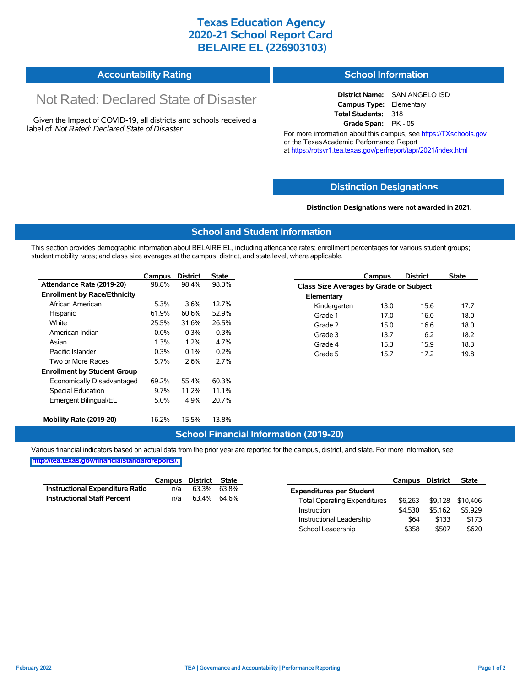## **Texas Education Agency 2020-21 School Report Card BELAIRE EL (226903103)**

| <b>Accountability Rating</b> | <b>School Information</b> |
|------------------------------|---------------------------|
|------------------------------|---------------------------|

# Not Rated: Declared State of Disaster

Given the Impact of COVID-19, all districts and schools received a label of *Not Rated: Declared State of Disaster.*

**District Name:** SAN ANGELO ISD **Campus Type:** Elementary **Total Students:** 318 **Grade Span:** PK - 05

For more information about this campus, see https://TXschools.gov or the Texas Academic Performance Report at https://rptsvr1.tea.texas.gov/perfreport/tapr/2021/index.html

#### **Distinction Designat[ions](https://TXschools.gov)**

**Distinction Designations were not awarded in 2021.**

School Leadership  $$358$  \$507 \$620

#### **School and Student Information**

This section provides demographic information about BELAIRE EL, including attendance rates; enrollment percentages for various student groups; student mobility rates; and class size averages at the campus, district, and state level, where applicable.

|                                     | Campus  | <b>District</b> | State |              | Campus                                  | <b>District</b> | <b>State</b> |  |  |
|-------------------------------------|---------|-----------------|-------|--------------|-----------------------------------------|-----------------|--------------|--|--|
| Attendance Rate (2019-20)           | 98.8%   | 98.4%           | 98.3% |              | Class Size Averages by Grade or Subject |                 |              |  |  |
| <b>Enrollment by Race/Ethnicity</b> |         |                 |       | Elementary   |                                         |                 |              |  |  |
| African American                    | 5.3%    | 3.6%            | 12.7% | Kindergarten | 13.0                                    | 15.6            | 17.7         |  |  |
| Hispanic                            | 61.9%   | 60.6%           | 52.9% | Grade 1      | 17.0                                    | 16.0            | 18.0         |  |  |
| White                               | 25.5%   | 31.6%           | 26.5% | Grade 2      | 15.0                                    | 16.6            | 18.0         |  |  |
| American Indian                     | $0.0\%$ | 0.3%            | 0.3%  | Grade 3      | 13.7                                    | 16.2            | 18.2         |  |  |
| Asian                               | 1.3%    | 1.2%            | 4.7%  | Grade 4      | 15.3                                    | 15.9            | 18.3         |  |  |
| Pacific Islander                    | 0.3%    | 0.1%            | 0.2%  | Grade 5      | 15.7                                    | 17.2            | 19.8         |  |  |
| Two or More Races                   | 5.7%    | 2.6%            | 2.7%  |              |                                         |                 |              |  |  |
| <b>Enrollment by Student Group</b>  |         |                 |       |              |                                         |                 |              |  |  |
| Economically Disadvantaged          | 69.2%   | 55.4%           | 60.3% |              |                                         |                 |              |  |  |
| Special Education                   | 9.7%    | 11.2%           | 11.1% |              |                                         |                 |              |  |  |
| Emergent Bilingual/EL               | 5.0%    | 4.9%            | 20.7% |              |                                         |                 |              |  |  |
|                                     |         |                 |       |              |                                         |                 |              |  |  |
| Mobility Rate (2019-20)             | 16.2%   | 15.5%           | 13.8% |              |                                         |                 |              |  |  |

### **School Financial Information (2019-20)**

Various financial indicators based on actual data from the prior year are reported for the campus, district, and state. For more information, see

**[http://tea.texas.gov/financialstandardreports/.](http://tea.texas.gov/financialstandardreports/)**

|                                        | Campus | District | State       |                                     | Campus  | <b>District</b> | <b>State</b>     |
|----------------------------------------|--------|----------|-------------|-------------------------------------|---------|-----------------|------------------|
| <b>Instructional Expenditure Ratio</b> | n/a    | 63.3%    | 63.8%       | <b>Expenditures per Student</b>     |         |                 |                  |
| <b>Instructional Staff Percent</b>     | n/a    |          | 63.4% 64.6% | <b>Total Operating Expenditures</b> | \$6.263 |                 | \$9,128 \$10,406 |
|                                        |        |          |             | Instruction                         | \$4.530 | \$5.162         | \$5,929          |
|                                        |        |          |             | Instructional Leadership            | \$64    | \$133           | \$173            |